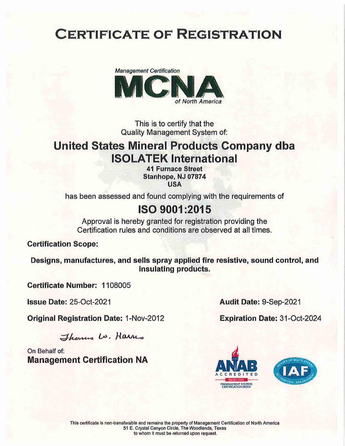

This is to certify that the Quality Management System of:

### United States Mineral Products Company dba ISOLATEK International

41 Furnace Street Stanhope, NJ 07874 USA

has been assessed and found complying with the requirements of

#### 1809001:2015

Approval is hereby granted for registration providing the Certification rules and conditions are observed at all times.

Certification Scope:

Designs, manufactures, and sells spray applied fire resistive, sound control, and insulating products.

Certificate Number: 1108005

Issue Date: 25-0ct-2021

**Original Registration Date: 1-Nov-2012** 

Therma Lo. Harris

On Behalf of; Management Certification NA Audit Date: 9-Sep-2021

Expiration Date: 31-Oct-2024



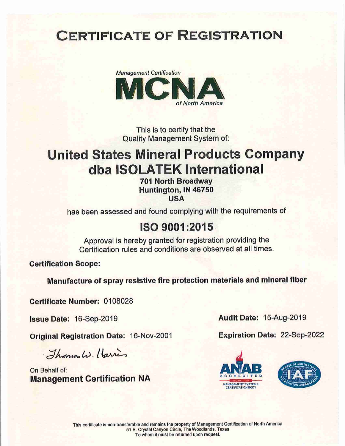

This is to certify that the Quality Management System of;

# United States Mineral Products Company dba ISOLATEK International

701 North Broadway Huntington, IN 46750 USA

has been assessed and found complying with the requirements of

### 1809001:2015

Approval is hereby granted for registration providing the Certification rules and conditions are observed at all times.

Certification Scope:

Manufacture of spray resistive fire protection materials and mineral fiber

Certificate Number: 0108028

Issue Date: 16-Sep-2019

Original Registration Date: 16-Nov-2001

Thomas W. Harris

On Behalf of: Management Certification NA Audit Date: 15-Aug-2019

Expiration Date: 22-Sep-2022



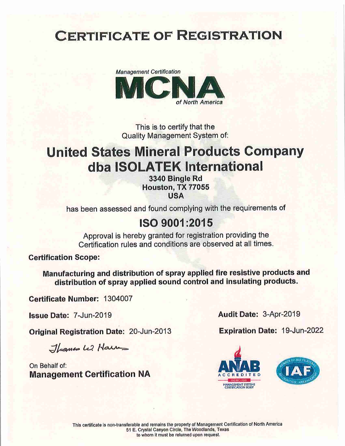

This is to certify that the Quality Management System of;

## United States Mineral Products Company dba ISOLATEK International

3340 Single Rd Houston, TX 77055 USA

has been assessed and found complying with the requirements of

#### 1509001:2015

Approval is hereby granted for registration providing the Certification rules and conditions are observed at all times.

Certification Scope:

Manufacturing and distribution of spray applied fire resistive products and distribution of spray applied sound control and insulating products.

Certificate Number: 1304007

Issue Date: 7-Jun-2019

Original Registration Date: 20-Jun-2013

 $\exists$ homes L. Harry

On Behalf of: Management Certification NA Audit Date: 3-Apr-2019

Expiration Date: 19-Jun-2022